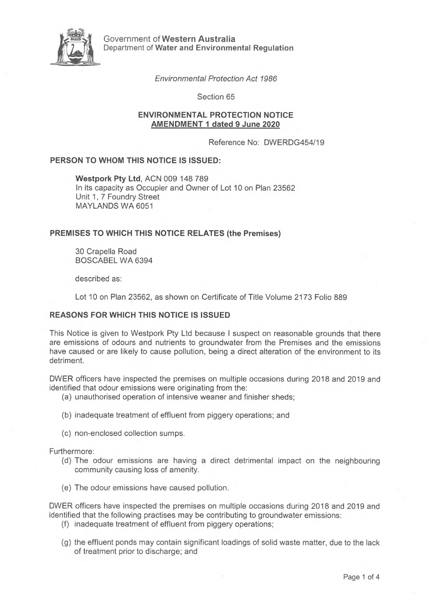

Government of **Western Australia** Department of **Water and Environmental Regulation**

*Environmental Protection Act 1986*

Section 65

# **ENVIRONMENTAL PROTECTION NOTICE AMENDMENT <sup>1</sup> dated 9 June 2020**

Reference No: DWERDG454/19

# **PERSON TO WHOM THIS NOTICE IS ISSUED:**

**Westpork Pty Ltd,** ACN 009 148 789 In its capacity as Occupier and Owner of Lot 10 on Plan 23562 Unit 1, 7 Foundry Street MAYLANDS WA 6051

# **PREMISES TO WHICH THIS NOTICE RELATES (the Premises)**

30 Crapella Road BOSCABEL WA 6394

described as:

Lot 10 on Plan 23562, as shown on Certificate of Title Volume 2173 Folio 889

## **REASONS FOR WHICH THIS NOTICE IS ISSUED**

This Notice is given to Westpork Pty Ltd because <sup>I</sup> suspect on reasonable grounds that there are emissions of odours and nutrients to groundwater from the Premises and the emissions have caused or are likely to cause pollution, being a direct alteration of the environment to its detriment.

DWER officers have inspected the premises on multiple occasions during 2018 and 2019 and identified that odour emissions were originating from the:

- (a) unauthorised operation of intensive weaner and finisher sheds;
- (b) inadequate treatment of effluent from piggery operations; and
- (c) non-enclosed collection sumps.

Furthermore:

- (d) The odour emissions are having a direct detrimental impact on the neighbouring community causing loss of amenity.
- (e) The odour emissions have caused pollution.

DWER officers have inspected the premises on multiple occasions during 2018 and 2019 and identified that the following practises may be contributing to groundwater emissions:

- (f) inadequate treatment of effluent from piggery operations;
- (g) the effluent ponds may contain significant loadings of solid waste matter, due to the lack of treatment prior to discharge; and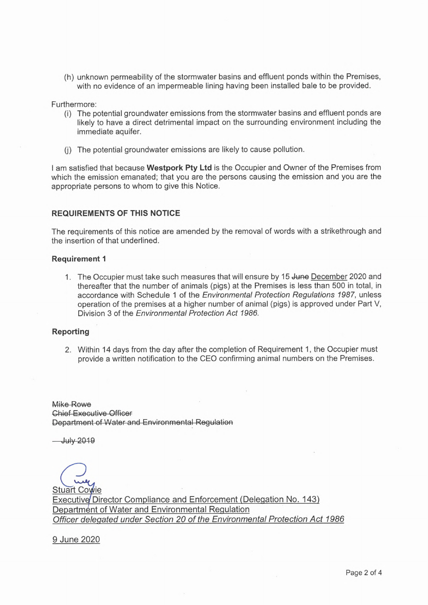(h) unknown permeability of the stormwater basins and effluent ponds within the Premises, with no evidence of an impermeable lining having been installed bale to be provided.

Furthermore:

- (i) The potential groundwater emissions from the stormwater basins and effluent ponds are likely to have a direct detrimental impact on the surrounding environment including the immediate aquifer.
- (j) The potential groundwater emissions are likely to cause pollution.

<sup>I</sup> am satisfied that because **Westpork Pty Ltd** is the Occupier and Owner of the Premises from which the emission emanated; that you are the persons causing the emission and you are the appropriate persons to whom to give this Notice.

## **REQUIREMENTS OF THIS NOTICE**

The requirements of this notice are amended by the removal of words with a strikethrough and the insertion of that underlined.

# **Requirement <sup>1</sup>**

1. The Occupier must take such measures that will ensure by 15 June December 2020 and thereafter that the number of animals (pigs) at the Premises is less than 500 in total, in accordance with Schedule <sup>1</sup> of the *Environmental Protection Regulations 1987,* unless operation of the premises at a higher number of animal (pigs) is approved under Part V, Division 3 of the *Environmental Protection Act 1986.*

### **Reporting**

2. Within 14 days from the day after the completion of Requirement 1, the Occupier must provide a written notification to the CEO confirming animal numbers on the Premises.

Mike Rowe Chief Executive Officer Department of Water and Environmental Regulation

**July 2019** 

**Stuart Cowie** Executive Director Compliance and Enforcement (Delegation No. 143) Department of Water and Environmental Regulation *Officer delegated under Section 20 of the Environmental Protection Act 1986*

9 June 2020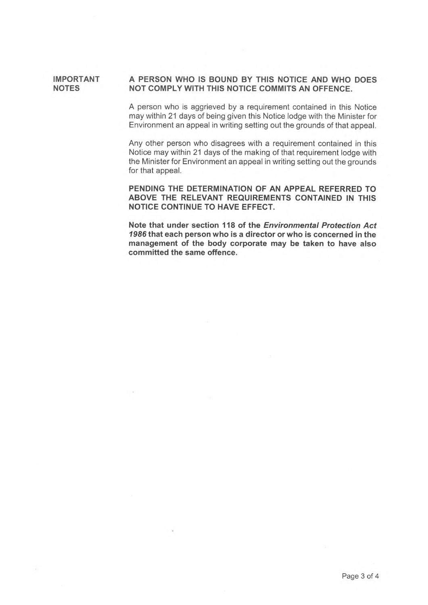#### **IMPORTANT NOTES A PERSON WHO IS BOUND BY THIS NOTICE AND WHO DOES NOT COMPLY WITH THIS NOTICE COMMITS AN OFFENCE.**

A person who is aggrieved by a requirement contained in this Notice may within 21 days of being given this Notice lodge with the Minister for Environment an appeal in writing setting out the grounds of that appeal.

Any other person who disagrees with a requirement contained in this Notice may within 21 days of the making of that requirement lodge with the Minister for Environment an appeal in writing setting out the grounds for that appeal.

**PENDING THE DETERMINATION OF AN APPEAL REFERRED TO ABOVE THE RELEVANT REQUIREMENTS CONTAINED IN THIS NOTICE CONTINUE TO HAVE EFFECT.**

**Note that under section 118 of the** *Environmental Protection Act 1986* **that each person who is a director or who is concerned in the management of the body corporate may be taken to have also committed the same offence.**